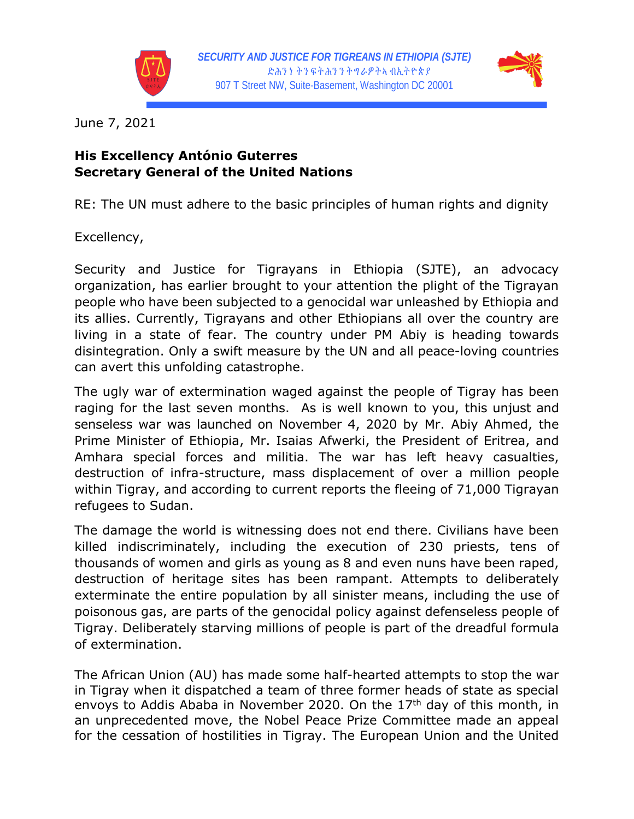



June 7, 2021

## **His Excellency António Guterres Secretary General of the United Nations**

RE: The UN must adhere to the basic principles of human rights and dignity

Excellency,

Security and Justice for Tigrayans in Ethiopia (SJTE), an advocacy organization, has earlier brought to your attention the plight of the Tigrayan people who have been subjected to a genocidal war unleashed by Ethiopia and its allies. Currently, Tigrayans and other Ethiopians all over the country are living in a state of fear. The country under PM Abiy is heading towards disintegration. Only a swift measure by the UN and all peace-loving countries can avert this unfolding catastrophe.

The ugly war of extermination waged against the people of Tigray has been raging for the last seven months. As is well known to you, this unjust and senseless war was launched on November 4, 2020 by Mr. Abiy Ahmed, the Prime Minister of Ethiopia, Mr. Isaias Afwerki, the President of Eritrea, and Amhara special forces and militia. The war has left heavy casualties, destruction of infra-structure, mass displacement of over a million people within Tigray, and according to current reports the fleeing of 71,000 Tigrayan refugees to Sudan.

The damage the world is witnessing does not end there. Civilians have been killed indiscriminately, including the execution of 230 priests, tens of thousands of women and girls as young as 8 and even nuns have been raped, destruction of heritage sites has been rampant. Attempts to deliberately exterminate the entire population by all sinister means, including the use of poisonous gas, are parts of the genocidal policy against defenseless people of Tigray. Deliberately starving millions of people is part of the dreadful formula of extermination.

The African Union (AU) has made some half-hearted attempts to stop the war in Tigray when it dispatched a team of three former heads of state as special envoys to Addis Ababa in November 2020. On the  $17<sup>th</sup>$  day of this month, in an unprecedented move, the Nobel Peace Prize Committee made an appeal for the cessation of hostilities in Tigray. The European Union and the United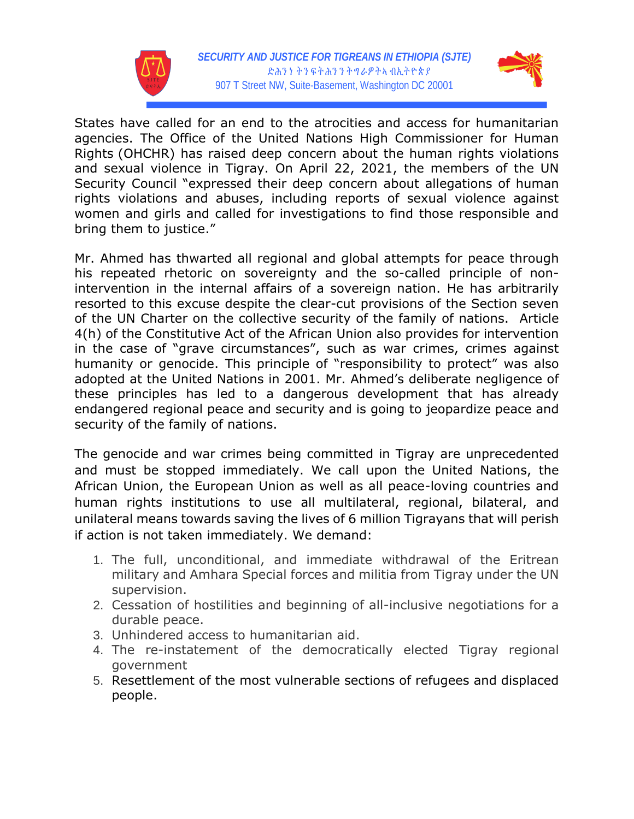



States have called for an end to the atrocities and access for humanitarian agencies. The Office of the United Nations High Commissioner for Human Rights (OHCHR) has raised deep concern about the human rights violations and sexual violence in Tigray. On April 22, 2021, the members of the UN Security Council "expressed their deep concern about allegations of human rights violations and abuses, including reports of sexual violence against women and girls and called for investigations to find those responsible and bring them to justice."

Mr. Ahmed has thwarted all regional and global attempts for peace through his repeated rhetoric on sovereignty and the so-called principle of nonintervention in the internal affairs of a sovereign nation. He has arbitrarily resorted to this excuse despite the clear-cut provisions of the Section seven of the UN Charter on the collective security of the family of nations. Article 4(h) of the Constitutive Act of the African Union also provides for intervention in the case of "grave circumstances", such as war crimes, crimes against humanity or genocide. This principle of "responsibility to protect" was also adopted at the United Nations in 2001. Mr. Ahmed's deliberate negligence of these principles has led to a dangerous development that has already endangered regional peace and security and is going to jeopardize peace and security of the family of nations.

The genocide and war crimes being committed in Tigray are unprecedented and must be stopped immediately. We call upon the United Nations, the African Union, the European Union as well as all peace-loving countries and human rights institutions to use all multilateral, regional, bilateral, and unilateral means towards saving the lives of 6 million Tigrayans that will perish if action is not taken immediately. We demand:

- 1. The full, unconditional, and immediate withdrawal of the Eritrean military and Amhara Special forces and militia from Tigray under the UN supervision.
- 2. Cessation of hostilities and beginning of all-inclusive negotiations for a durable peace.
- 3. Unhindered access to humanitarian aid.
- 4. The re-instatement of the democratically elected Tigray regional government
- 5. Resettlement of the most vulnerable sections of refugees and displaced people.